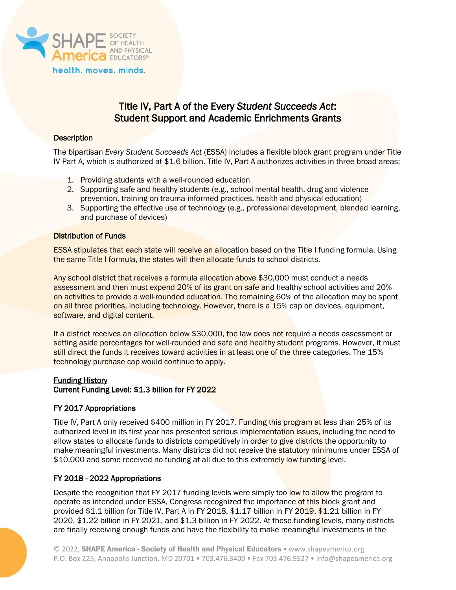

# Title IV, Part A of the Every *Student Succeeds Act*: Student Support and Academic Enrichments Grants

## **Description**

The bipartisan *Every Student Succeeds Act* (ESSA) includes a flexible block grant program under Title IV Part A, which is authorized at \$1.6 billion. Title IV, Part A authorizes activities in three broad areas:

- 1. Providing students with a well-rounded education
- 2. Supporting safe and healthy students (e.g., school mental health, drug and violence prevention, training on trauma-informed practices, health and physical education)
- 3. Supporting the effective use of technology (e.g., professional development, blended learning, and purchase of devices)

### Distribution of Funds

ESSA stipulates that each state will receive an allocation based on the Title I funding formula. Using the same Title I formula, the states will then allocate funds to school districts.

Any school district that receives a formula allocation above \$30,000 must conduct a needs assessment and then must expend 20% of its grant on safe and healthy school activities and 20% on activities to provide a well-rounded education. The remaining 60% of the allocation may be spent on all three priorities, including technology. However, there is a 15% cap on devices, equipment, software, and digital content.

If a district receives an allocation below \$30,000, the law does not require a needs assessment or setting aside percentages for well-rounded and safe and healthy student programs. However, it must still direct the funds it receives toward activities in at least one of the three categories. The 15% technology purchase cap would continue to apply.

### Funding History

Current Funding Level: \$1.3 billion for FY 2022

### FY 2017 Appropriations

Title IV, Part A only received \$400 million in FY 2017. Funding this program at less than 25% of its authorized level in its first year has presented serious implementation issues, including the need to allow states to allocate funds to districts competitively in order to give districts the opportunity to make meaningful investments. Many districts did not receive the statutory minimums under ESSA of \$10,000 and some received no funding at all due to this extremely low funding level.

### FY 2018 - 2022 Appropriations

Despite the recognition that FY 2017 funding levels were simply too low to allow the program to operate as intended under ESSA, Congress recognized the importance of this block grant and provided \$1.1 billion for Title IV, Part A in FY 2018, \$1.17 billion in FY 2019, \$1.21 billion in FY 2020, \$1.22 billion in FY 2021, and \$1.3 billion in FY 2022. At these funding levels, many districts are finally receiving enough funds and have the flexibility to make meaningful investments in the